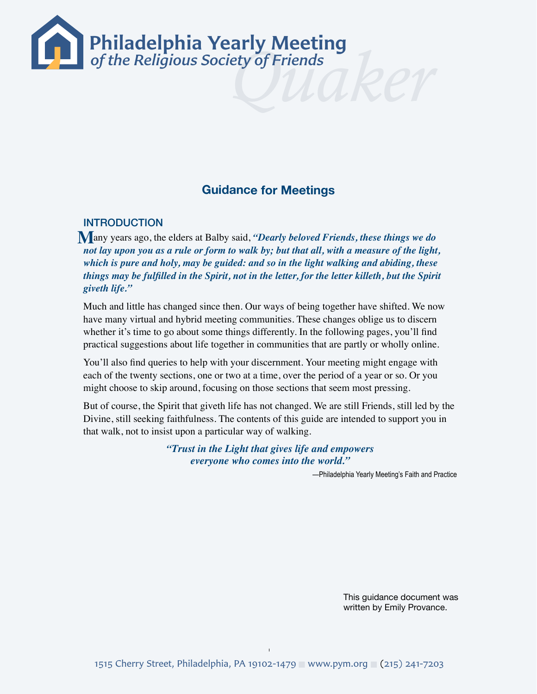

# **Guidance for Meetings**

### INTRODUCTION

 any years ago, the elders at Balby said, *"Dearly beloved Friends, these things we do*  **M** *not lay upon you as a rule or form to walk by; but that all, with a measure of the light, which is pure and holy, may be guided: and so in the light walking and abiding, these things may be fulfilled in the Spirit, not in the letter, for the letter killeth, but the Spirit giveth life."*

Much and little has changed since then. Our ways of being together have shifted. We now have many virtual and hybrid meeting communities. These changes oblige us to discern whether it's time to go about some things differently. In the following pages, you'll find practical suggestions about life together in communities that are partly or wholly online.

You'll also find queries to help with your discernment. Your meeting might engage with each of the twenty sections, one or two at a time, over the period of a year or so. Or you might choose to skip around, focusing on those sections that seem most pressing.

But of course, the Spirit that giveth life has not changed. We are still Friends, still led by the Divine, still seeking faithfulness. The contents of this guide are intended to support you in that walk, not to insist upon a particular way of walking.

> *"Trust in the Light that gives life and empowers everyone who comes into the world."*

> > —Philadelphia Yearly Meeting's Faith and Practice

This guidance document was written by Emily Provance.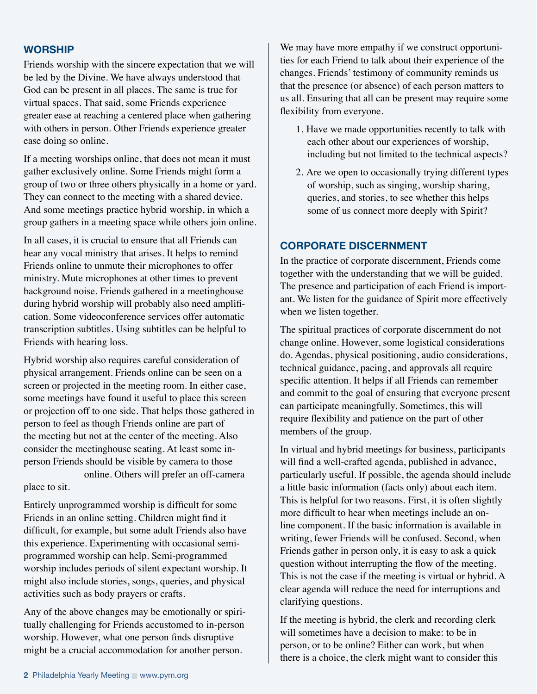#### **WORSHIP**

Friends worship with the sincere expectation that we will be led by the Divine. We have always understood that God can be present in all places. The same is true for virtual spaces. That said, some Friends experience greater ease at reaching a centered place when gathering with others in person. Other Friends experience greater ease doing so online.

If a meeting worships online, that does not mean it must gather exclusively online. Some Friends might form a group of two or three others physically in a home or yard. They can connect to the meeting with a shared device. And some meetings practice hybrid worship, in which a group gathers in a meeting space while others join online.

In all cases, it is crucial to ensure that all Friends can hear any vocal ministry that arises. It helps to remind Friends online to unmute their microphones to offer ministry. Mute microphones at other times to prevent background noise. Friends gathered in a meetinghouse during hybrid worship will probably also need amplification. Some videoconference services offer automatic transcription subtitles. Using subtitles can be helpful to Friends with hearing loss.

Hybrid worship also requires careful consideration of physical arrangement. Friends online can be seen on a screen or projected in the meeting room. In either case, some meetings have found it useful to place this screen or projection off to one side. That helps those gathered in person to feel as though Friends online are part of the meeting but not at the center of the meeting. Also consider the meetinghouse seating. At least some inperson Friends should be visible by camera to those

 online. Others will prefer an off-camera place to sit.

Entirely unprogrammed worship is difficult for some Friends in an online setting. Children might find it difficult, for example, but some adult Friends also have this experience. Experimenting with occasional semiprogrammed worship can help. Semi-programmed worship includes periods of silent expectant worship. It might also include stories, songs, queries, and physical activities such as body prayers or crafts.

Any of the above changes may be emotionally or spiritually challenging for Friends accustomed to in-person worship. However, what one person finds disruptive might be a crucial accommodation for another person.

We may have more empathy if we construct opportunities for each Friend to talk about their experience of the changes. Friends' testimony of community reminds us that the presence (or absence) of each person matters to us all. Ensuring that all can be present may require some flexibility from everyone.

- 1. Have we made opportunities recently to talk with each other about our experiences of worship, including but not limited to the technical aspects?
- 2. Are we open to occasionally trying different types of worship, such as singing, worship sharing, queries, and stories, to see whether this helps some of us connect more deeply with Spirit?

#### **CORPORATE DISCERNMENT**

In the practice of corporate discernment, Friends come together with the understanding that we will be guided. The presence and participation of each Friend is important. We listen for the guidance of Spirit more effectively when we listen together.

The spiritual practices of corporate discernment do not change online. However, some logistical considerations do. Agendas, physical positioning, audio considerations, technical guidance, pacing, and approvals all require specific attention. It helps if all Friends can remember and commit to the goal of ensuring that everyone present can participate meaningfully. Sometimes, this will require flexibility and patience on the part of other members of the group.

In virtual and hybrid meetings for business, participants will find a well-crafted agenda, published in advance, particularly useful. If possible, the agenda should include a little basic information (facts only) about each item. This is helpful for two reasons. First, it is often slightly more difficult to hear when meetings include an online component. If the basic information is available in writing, fewer Friends will be confused. Second, when Friends gather in person only, it is easy to ask a quick question without interrupting the flow of the meeting. This is not the case if the meeting is virtual or hybrid. A clear agenda will reduce the need for interruptions and clarifying questions.

If the meeting is hybrid, the clerk and recording clerk will sometimes have a decision to make: to be in person, or to be online? Either can work, but when there is a choice, the clerk might want to consider this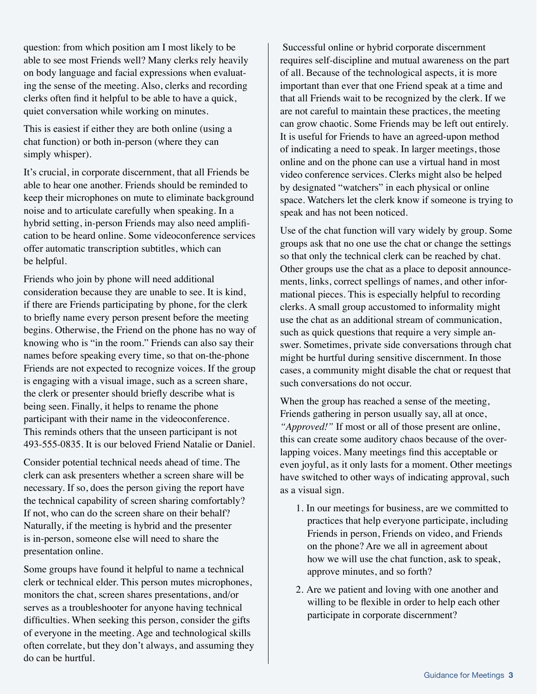question: from which position am I most likely to be able to see most Friends well? Many clerks rely heavily on body language and facial expressions when evaluating the sense of the meeting. Also, clerks and recording clerks often find it helpful to be able to have a quick, quiet conversation while working on minutes.

This is easiest if either they are both online (using a chat function) or both in-person (where they can simply whisper).

It's crucial, in corporate discernment, that all Friends be able to hear one another. Friends should be reminded to keep their microphones on mute to eliminate background noise and to articulate carefully when speaking. In a hybrid setting, in-person Friends may also need amplification to be heard online. Some videoconference services offer automatic transcription subtitles, which can be helpful.

Friends who join by phone will need additional consideration because they are unable to see. It is kind, if there are Friends participating by phone, for the clerk to briefly name every person present before the meeting begins. Otherwise, the Friend on the phone has no way of knowing who is "in the room." Friends can also say their names before speaking every time, so that on-the-phone Friends are not expected to recognize voices. If the group is engaging with a visual image, such as a screen share, the clerk or presenter should briefly describe what is being seen. Finally, it helps to rename the phone participant with their name in the videoconference. This reminds others that the unseen participant is not 493-555-0835. It is our beloved Friend Natalie or Daniel.

Consider potential technical needs ahead of time. The clerk can ask presenters whether a screen share will be necessary. If so, does the person giving the report have the technical capability of screen sharing comfortably? If not, who can do the screen share on their behalf? Naturally, if the meeting is hybrid and the presenter is in-person, someone else will need to share the presentation online.

Some groups have found it helpful to name a technical clerk or technical elder. This person mutes microphones, monitors the chat, screen shares presentations, and/or serves as a troubleshooter for anyone having technical difficulties. When seeking this person, consider the gifts of everyone in the meeting. Age and technological skills often correlate, but they don't always, and assuming they do can be hurtful.

 Successful online or hybrid corporate discernment requires self-discipline and mutual awareness on the part of all. Because of the technological aspects, it is more important than ever that one Friend speak at a time and that all Friends wait to be recognized by the clerk. If we are not careful to maintain these practices, the meeting can grow chaotic. Some Friends may be left out entirely. It is useful for Friends to have an agreed-upon method of indicating a need to speak. In larger meetings, those online and on the phone can use a virtual hand in most video conference services. Clerks might also be helped by designated "watchers" in each physical or online space. Watchers let the clerk know if someone is trying to speak and has not been noticed.

Use of the chat function will vary widely by group. Some groups ask that no one use the chat or change the settings so that only the technical clerk can be reached by chat. Other groups use the chat as a place to deposit announcements, links, correct spellings of names, and other informational pieces. This is especially helpful to recording clerks. A small group accustomed to informality might use the chat as an additional stream of communication, such as quick questions that require a very simple answer. Sometimes, private side conversations through chat might be hurtful during sensitive discernment. In those cases, a community might disable the chat or request that such conversations do not occur.

When the group has reached a sense of the meeting, Friends gathering in person usually say, all at once, *"Approved!"* If most or all of those present are online, this can create some auditory chaos because of the overlapping voices. Many meetings find this acceptable or even joyful, as it only lasts for a moment. Other meetings have switched to other ways of indicating approval, such as a visual sign.

- 1. In our meetings for business, are we committed to practices that help everyone participate, including Friends in person, Friends on video, and Friends on the phone? Are we all in agreement about how we will use the chat function, ask to speak, approve minutes, and so forth?
- 2. Are we patient and loving with one another and willing to be flexible in order to help each other participate in corporate discernment?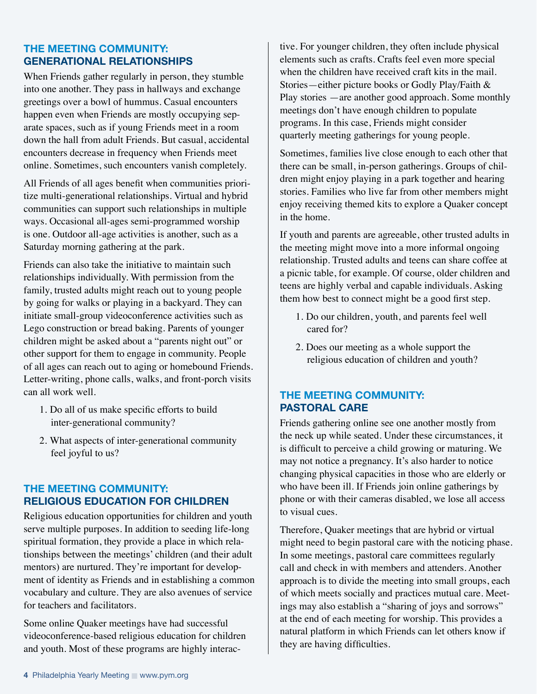### **THE MEETING COMMUNITY: GENERATIONAL RELATIONSHIPS**

When Friends gather regularly in person, they stumble into one another. They pass in hallways and exchange greetings over a bowl of hummus. Casual encounters happen even when Friends are mostly occupying separate spaces, such as if young Friends meet in a room down the hall from adult Friends. But casual, accidental encounters decrease in frequency when Friends meet online. Sometimes, such encounters vanish completely.

All Friends of all ages benefit when communities prioritize multi-generational relationships. Virtual and hybrid communities can support such relationships in multiple ways. Occasional all-ages semi-programmed worship is one. Outdoor all-age activities is another, such as a Saturday morning gathering at the park.

Friends can also take the initiative to maintain such relationships individually. With permission from the family, trusted adults might reach out to young people by going for walks or playing in a backyard. They can initiate small-group videoconference activities such as Lego construction or bread baking. Parents of younger children might be asked about a "parents night out" or other support for them to engage in community. People of all ages can reach out to aging or homebound Friends. Letter-writing, phone calls, walks, and front-porch visits can all work well.

- 1. Do all of us make specific efforts to build inter-generational community?
- 2. What aspects of inter-generational community feel joyful to us?

## **THE MEETING COMMUNITY: RELIGIOUS EDUCATION FOR CHILDREN**

Religious education opportunities for children and youth serve multiple purposes. In addition to seeding life-long spiritual formation, they provide a place in which relationships between the meetings' children (and their adult mentors) are nurtured. They're important for development of identity as Friends and in establishing a common vocabulary and culture. They are also avenues of service for teachers and facilitators.

Some online Quaker meetings have had successful videoconference-based religious education for children and youth. Most of these programs are highly interac-

tive. For younger children, they often include physical elements such as crafts. Crafts feel even more special when the children have received craft kits in the mail. Stories—either picture books or Godly Play/Faith & Play stories —are another good approach. Some monthly meetings don't have enough children to populate programs. In this case, Friends might consider quarterly meeting gatherings for young people.

Sometimes, families live close enough to each other that there can be small, in-person gatherings. Groups of children might enjoy playing in a park together and hearing stories. Families who live far from other members might enjoy receiving themed kits to explore a Quaker concept in the home.

If youth and parents are agreeable, other trusted adults in the meeting might move into a more informal ongoing relationship. Trusted adults and teens can share coffee at a picnic table, for example. Of course, older children and teens are highly verbal and capable individuals. Asking them how best to connect might be a good first step.

- 1. Do our children, youth, and parents feel well cared for?
- 2. Does our meeting as a whole support the religious education of children and youth?

## **THE MEETING COMMUNITY: PASTORAL CARE**

Friends gathering online see one another mostly from the neck up while seated. Under these circumstances, it is difficult to perceive a child growing or maturing. We may not notice a pregnancy. It's also harder to notice changing physical capacities in those who are elderly or who have been ill. If Friends join online gatherings by phone or with their cameras disabled, we lose all access to visual cues.

Therefore, Quaker meetings that are hybrid or virtual might need to begin pastoral care with the noticing phase. In some meetings, pastoral care committees regularly call and check in with members and attenders. Another approach is to divide the meeting into small groups, each of which meets socially and practices mutual care. Meetings may also establish a "sharing of joys and sorrows" at the end of each meeting for worship. This provides a natural platform in which Friends can let others know if they are having difficulties.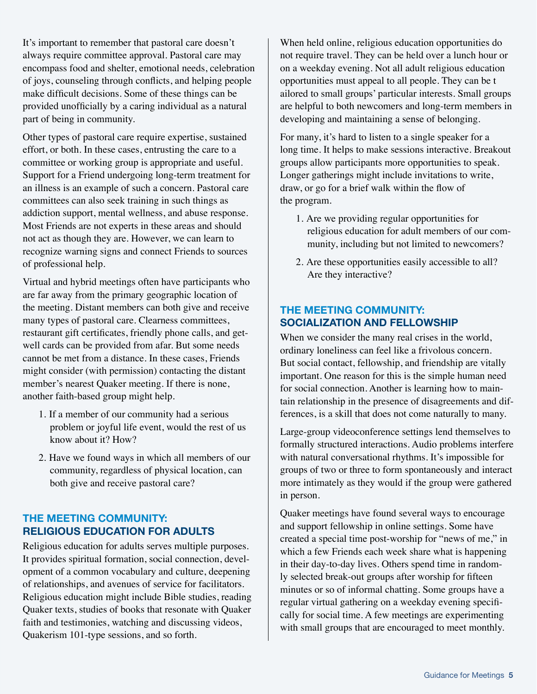It's important to remember that pastoral care doesn't always require committee approval. Pastoral care may encompass food and shelter, emotional needs, celebration of joys, counseling through conflicts, and helping people make difficult decisions. Some of these things can be provided unofficially by a caring individual as a natural part of being in community.

Other types of pastoral care require expertise, sustained effort, or both. In these cases, entrusting the care to a committee or working group is appropriate and useful. Support for a Friend undergoing long-term treatment for an illness is an example of such a concern. Pastoral care committees can also seek training in such things as addiction support, mental wellness, and abuse response. Most Friends are not experts in these areas and should not act as though they are. However, we can learn to recognize warning signs and connect Friends to sources of professional help.

Virtual and hybrid meetings often have participants who are far away from the primary geographic location of the meeting. Distant members can both give and receive many types of pastoral care. Clearness committees, restaurant gift certificates, friendly phone calls, and getwell cards can be provided from afar. But some needs cannot be met from a distance. In these cases, Friends might consider (with permission) contacting the distant member's nearest Quaker meeting. If there is none, another faith-based group might help.

- 1. If a member of our community had a serious problem or joyful life event, would the rest of us know about it? How?
- 2. Have we found ways in which all members of our community, regardless of physical location, can both give and receive pastoral care?

### **THE MEETING COMMUNITY: RELIGIOUS EDUCATION FOR ADULTS**

Religious education for adults serves multiple purposes. It provides spiritual formation, social connection, development of a common vocabulary and culture, deepening of relationships, and avenues of service for facilitators. Religious education might include Bible studies, reading Quaker texts, studies of books that resonate with Quaker faith and testimonies, watching and discussing videos, Quakerism 101-type sessions, and so forth.

When held online, religious education opportunities do not require travel. They can be held over a lunch hour or on a weekday evening. Not all adult religious education opportunities must appeal to all people. They can be t ailored to small groups' particular interests. Small groups are helpful to both newcomers and long-term members in developing and maintaining a sense of belonging.

For many, it's hard to listen to a single speaker for a long time. It helps to make sessions interactive. Breakout groups allow participants more opportunities to speak. Longer gatherings might include invitations to write, draw, or go for a brief walk within the flow of the program.

- 1. Are we providing regular opportunities for religious education for adult members of our community, including but not limited to newcomers?
- 2. Are these opportunities easily accessible to all? Are they interactive?

#### **THE MEETING COMMUNITY: SOCIALIZATION AND FELLOWSHIP**

When we consider the many real crises in the world, ordinary loneliness can feel like a frivolous concern. But social contact, fellowship, and friendship are vitally important. One reason for this is the simple human need for social connection. Another is learning how to maintain relationship in the presence of disagreements and differences, is a skill that does not come naturally to many.

Large-group videoconference settings lend themselves to formally structured interactions. Audio problems interfere with natural conversational rhythms. It's impossible for groups of two or three to form spontaneously and interact more intimately as they would if the group were gathered in person.

Quaker meetings have found several ways to encourage and support fellowship in online settings. Some have created a special time post-worship for "news of me," in which a few Friends each week share what is happening in their day-to-day lives. Others spend time in randomly selected break-out groups after worship for fifteen minutes or so of informal chatting. Some groups have a regular virtual gathering on a weekday evening specifically for social time. A few meetings are experimenting with small groups that are encouraged to meet monthly.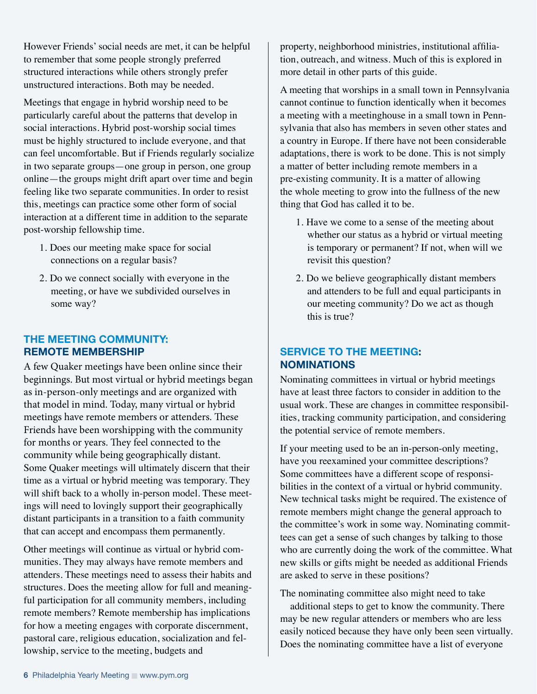However Friends' social needs are met, it can be helpful to remember that some people strongly preferred structured interactions while others strongly prefer unstructured interactions. Both may be needed.

Meetings that engage in hybrid worship need to be particularly careful about the patterns that develop in social interactions. Hybrid post-worship social times must be highly structured to include everyone, and that can feel uncomfortable. But if Friends regularly socialize in two separate groups—one group in person, one group online—the groups might drift apart over time and begin feeling like two separate communities. In order to resist this, meetings can practice some other form of social interaction at a different time in addition to the separate post-worship fellowship time.

- 1. Does our meeting make space for social connections on a regular basis?
- 2. Do we connect socially with everyone in the meeting, or have we subdivided ourselves in some way?

#### **THE MEETING COMMUNITY: REMOTE MEMBERSHIP**

A few Quaker meetings have been online since their beginnings. But most virtual or hybrid meetings began as in-person-only meetings and are organized with that model in mind. Today, many virtual or hybrid meetings have remote members or attenders. These Friends have been worshipping with the community for months or years. They feel connected to the community while being geographically distant. Some Quaker meetings will ultimately discern that their time as a virtual or hybrid meeting was temporary. They will shift back to a wholly in-person model. These meetings will need to lovingly support their geographically distant participants in a transition to a faith community that can accept and encompass them permanently.

Other meetings will continue as virtual or hybrid communities. They may always have remote members and attenders. These meetings need to assess their habits and structures. Does the meeting allow for full and meaningful participation for all community members, including remote members? Remote membership has implications for how a meeting engages with corporate discernment, pastoral care, religious education, socialization and fellowship, service to the meeting, budgets and

property, neighborhood ministries, institutional affiliation, outreach, and witness. Much of this is explored in more detail in other parts of this guide.

A meeting that worships in a small town in Pennsylvania cannot continue to function identically when it becomes a meeting with a meetinghouse in a small town in Pennsylvania that also has members in seven other states and a country in Europe. If there have not been considerable adaptations, there is work to be done. This is not simply a matter of better including remote members in a pre-existing community. It is a matter of allowing the whole meeting to grow into the fullness of the new thing that God has called it to be.

- 1. Have we come to a sense of the meeting about whether our status as a hybrid or virtual meeting is temporary or permanent? If not, when will we revisit this question?
- 2. Do we believe geographically distant members and attenders to be full and equal participants in our meeting community? Do we act as though this is true?

## **SERVICE TO THE MEETING: NOMINATIONS**

Nominating committees in virtual or hybrid meetings have at least three factors to consider in addition to the usual work. These are changes in committee responsibilities, tracking community participation, and considering the potential service of remote members.

If your meeting used to be an in-person-only meeting, have you reexamined your committee descriptions? Some committees have a different scope of responsibilities in the context of a virtual or hybrid community. New technical tasks might be required. The existence of remote members might change the general approach to the committee's work in some way. Nominating committees can get a sense of such changes by talking to those who are currently doing the work of the committee. What new skills or gifts might be needed as additional Friends are asked to serve in these positions?

The nominating committee also might need to take

 additional steps to get to know the community. There may be new regular attenders or members who are less easily noticed because they have only been seen virtually. Does the nominating committee have a list of everyone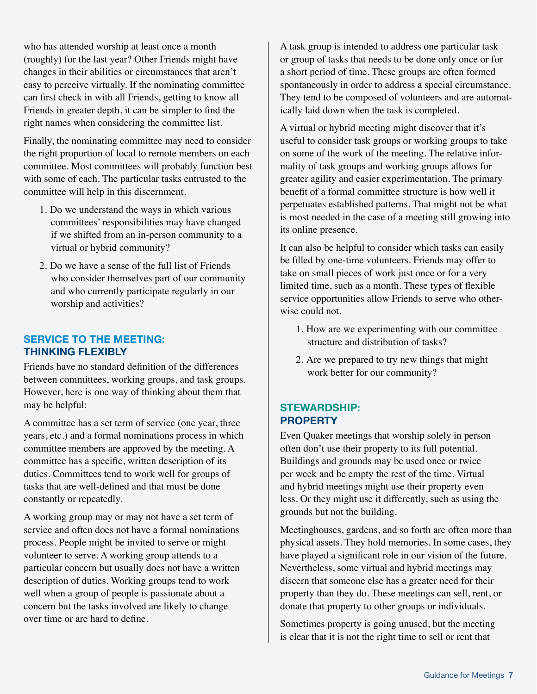who has attended worship at least once a month (roughly) for the last year? Other Friends might have changes in their abilities or circumstances that aren't easy to perceive virtually. If the nominating committee can first check in with all Friends, getting to know all Friends in greater depth, it can be simpler to find the right names when considering the committee list.

Finally, the nominating committee may need to consider the right proportion of local to remote members on each committee. Most committees will probably function best with some of each. The particular tasks entrusted to the committee will help in this discernment.

- 1. Do we understand the ways in which various committees' responsibilities may have changed if we shifted from an in-person community to a virtual or hybrid community?
- 2. Do we have a sense of the full list of Friends who consider themselves part of our community and who currently participate regularly in our worship and activities?

## **SERVICE TO THE MEETING: THINKING FLEXIBLY**

Friends have no standard definition of the differences between committees, working groups, and task groups. However, here is one way of thinking about them that may be helpful:

A committee has a set term of service (one year, three years, etc.) and a formal nominations process in which committee members are approved by the meeting. A committee has a specific, written description of its duties. Committees tend to work well for groups of tasks that are well-defined and that must be done constantly or repeatedly.

A working group may or may not have a set term of service and often does not have a formal nominations process. People might be invited to serve or might volunteer to serve. A working group attends to a particular concern but usually does not have a written description of duties. Working groups tend to work well when a group of people is passionate about a concern but the tasks involved are likely to change over time or are hard to define.

A task group is intended to address one particular task or group of tasks that needs to be done only once or for a short period of time. These groups are often formed spontaneously in order to address a special circumstance. They tend to be composed of volunteers and are automatically laid down when the task is completed.

A virtual or hybrid meeting might discover that it's useful to consider task groups or working groups to take on some of the work of the meeting. The relative informality of task groups and working groups allows for greater agility and easier experimentation. The primary benefit of a formal committee structure is how well it perpetuates established patterns. That might not be what is most needed in the case of a meeting still growing into its online presence.

It can also be helpful to consider which tasks can easily be filled by one-time volunteers. Friends may offer to take on small pieces of work just once or for a very limited time, such as a month. These types of flexible service opportunities allow Friends to serve who otherwise could not.

- 1. How are we experimenting with our committee structure and distribution of tasks?
- 2. Are we prepared to try new things that might work better for our community?

### **STEWARDSHIP: PROPERTY**

Even Quaker meetings that worship solely in person often don't use their property to its full potential. Buildings and grounds may be used once or twice per week and be empty the rest of the time. Virtual and hybrid meetings might use their property even less. Or they might use it differently, such as using the grounds but not the building.

Meetinghouses, gardens, and so forth are often more than physical assets. They hold memories. In some cases, they have played a significant role in our vision of the future. Nevertheless, some virtual and hybrid meetings may discern that someone else has a greater need for their property than they do. These meetings can sell, rent, or donate that property to other groups or individuals.

Sometimes property is going unused, but the meeting is clear that it is not the right time to sell or rent that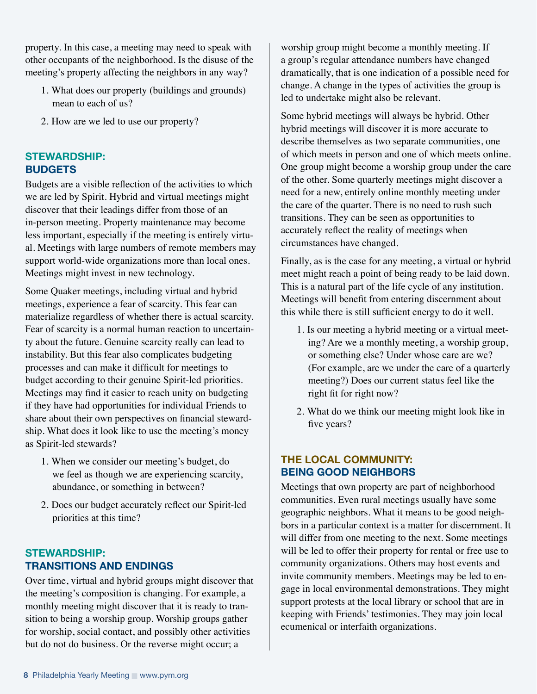property. In this case, a meeting may need to speak with other occupants of the neighborhood. Is the disuse of the meeting's property affecting the neighbors in any way?

- 1. What does our property (buildings and grounds) mean to each of us?
- 2. How are we led to use our property?

### **STEWARDSHIP: BUDGETS**

Budgets are a visible reflection of the activities to which we are led by Spirit. Hybrid and virtual meetings might discover that their leadings differ from those of an in-person meeting. Property maintenance may become less important, especially if the meeting is entirely virtual. Meetings with large numbers of remote members may support world-wide organizations more than local ones. Meetings might invest in new technology.

Some Quaker meetings, including virtual and hybrid meetings, experience a fear of scarcity. This fear can materialize regardless of whether there is actual scarcity. Fear of scarcity is a normal human reaction to uncertainty about the future. Genuine scarcity really can lead to instability. But this fear also complicates budgeting processes and can make it difficult for meetings to budget according to their genuine Spirit-led priorities. Meetings may find it easier to reach unity on budgeting if they have had opportunities for individual Friends to share about their own perspectives on financial stewardship. What does it look like to use the meeting's money as Spirit-led stewards?

- 1. When we consider our meeting's budget, do we feel as though we are experiencing scarcity, abundance, or something in between?
- 2. Does our budget accurately reflect our Spirit-led priorities at this time?

## **STEWARDSHIP: TRANSITIONS AND ENDINGS**

Over time, virtual and hybrid groups might discover that the meeting's composition is changing. For example, a monthly meeting might discover that it is ready to transition to being a worship group. Worship groups gather for worship, social contact, and possibly other activities but do not do business. Or the reverse might occur; a

worship group might become a monthly meeting. If a group's regular attendance numbers have changed dramatically, that is one indication of a possible need for change. A change in the types of activities the group is led to undertake might also be relevant.

Some hybrid meetings will always be hybrid. Other hybrid meetings will discover it is more accurate to describe themselves as two separate communities, one of which meets in person and one of which meets online. One group might become a worship group under the care of the other. Some quarterly meetings might discover a need for a new, entirely online monthly meeting under the care of the quarter. There is no need to rush such transitions. They can be seen as opportunities to accurately reflect the reality of meetings when circumstances have changed.

Finally, as is the case for any meeting, a virtual or hybrid meet might reach a point of being ready to be laid down. This is a natural part of the life cycle of any institution. Meetings will benefit from entering discernment about this while there is still sufficient energy to do it well.

- 1. Is our meeting a hybrid meeting or a virtual meeting? Are we a monthly meeting, a worship group, or something else? Under whose care are we? (For example, are we under the care of a quarterly meeting?) Does our current status feel like the right fit for right now?
- 2. What do we think our meeting might look like in five years?

## **THE LOCAL COMMUNITY: BEING GOOD NEIGHBORS**

Meetings that own property are part of neighborhood communities. Even rural meetings usually have some geographic neighbors. What it means to be good neighbors in a particular context is a matter for discernment. It will differ from one meeting to the next. Some meetings will be led to offer their property for rental or free use to community organizations. Others may host events and invite community members. Meetings may be led to engage in local environmental demonstrations. They might support protests at the local library or school that are in keeping with Friends' testimonies. They may join local ecumenical or interfaith organizations.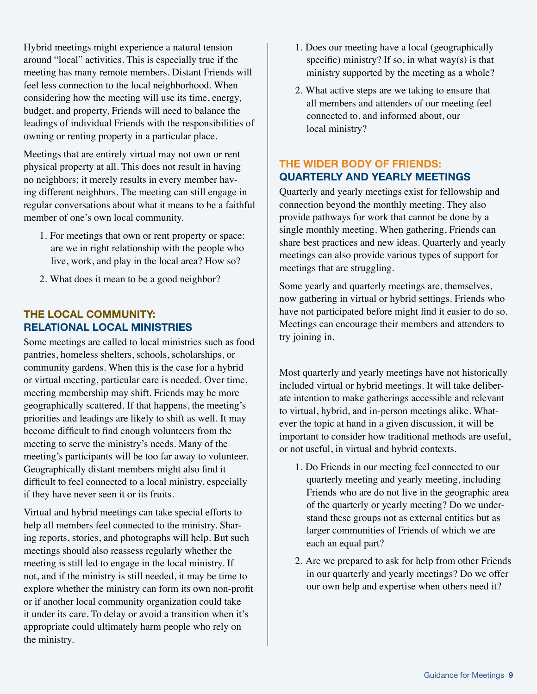Hybrid meetings might experience a natural tension around "local" activities. This is especially true if the meeting has many remote members. Distant Friends will feel less connection to the local neighborhood. When considering how the meeting will use its time, energy, budget, and property, Friends will need to balance the leadings of individual Friends with the responsibilities of owning or renting property in a particular place.

Meetings that are entirely virtual may not own or rent physical property at all. This does not result in having no neighbors; it merely results in every member having different neighbors. The meeting can still engage in regular conversations about what it means to be a faithful member of one's own local community.

- 1. For meetings that own or rent property or space: are we in right relationship with the people who live, work, and play in the local area? How so?
- 2. What does it mean to be a good neighbor?

#### **THE LOCAL COMMUNITY: RELATIONAL LOCAL MINISTRIES**

Some meetings are called to local ministries such as food pantries, homeless shelters, schools, scholarships, or community gardens. When this is the case for a hybrid or virtual meeting, particular care is needed. Over time, meeting membership may shift. Friends may be more geographically scattered. If that happens, the meeting's priorities and leadings are likely to shift as well. It may become difficult to find enough volunteers from the meeting to serve the ministry's needs. Many of the meeting's participants will be too far away to volunteer. Geographically distant members might also find it difficult to feel connected to a local ministry, especially if they have never seen it or its fruits.

Virtual and hybrid meetings can take special efforts to help all members feel connected to the ministry. Sharing reports, stories, and photographs will help. But such meetings should also reassess regularly whether the meeting is still led to engage in the local ministry. If not, and if the ministry is still needed, it may be time to explore whether the ministry can form its own non-profit or if another local community organization could take it under its care. To delay or avoid a transition when it's appropriate could ultimately harm people who rely on the ministry.

- 1. Does our meeting have a local (geographically specific) ministry? If so, in what way(s) is that ministry supported by the meeting as a whole?
- 2. What active steps are we taking to ensure that all members and attenders of our meeting feel connected to, and informed about, our local ministry?

## **THE WIDER BODY OF FRIENDS: QUARTERLY AND YEARLY MEETINGS**

Quarterly and yearly meetings exist for fellowship and connection beyond the monthly meeting. They also provide pathways for work that cannot be done by a single monthly meeting. When gathering, Friends can share best practices and new ideas. Quarterly and yearly meetings can also provide various types of support for meetings that are struggling.

Some yearly and quarterly meetings are, themselves, now gathering in virtual or hybrid settings. Friends who have not participated before might find it easier to do so. Meetings can encourage their members and attenders to try joining in.

Most quarterly and yearly meetings have not historically included virtual or hybrid meetings. It will take deliberate intention to make gatherings accessible and relevant to virtual, hybrid, and in-person meetings alike. Whatever the topic at hand in a given discussion, it will be important to consider how traditional methods are useful, or not useful, in virtual and hybrid contexts.

- 1. Do Friends in our meeting feel connected to our quarterly meeting and yearly meeting, including Friends who are do not live in the geographic area of the quarterly or yearly meeting? Do we understand these groups not as external entities but as larger communities of Friends of which we are each an equal part?
- 2. Are we prepared to ask for help from other Friends in our quarterly and yearly meetings? Do we offer our own help and expertise when others need it?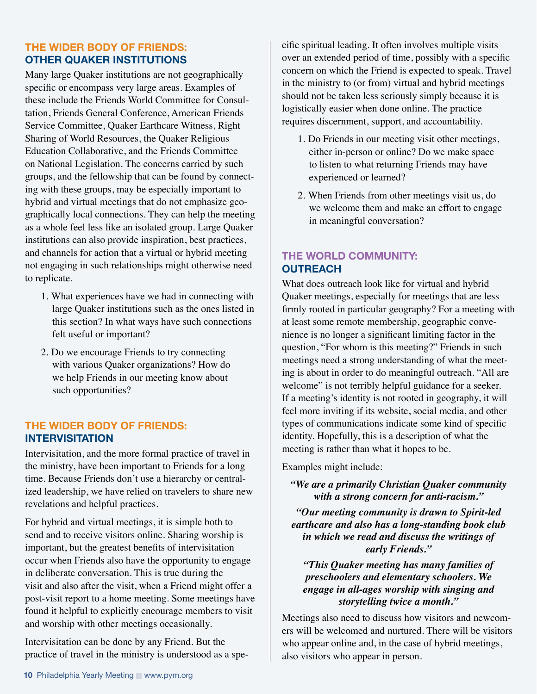#### **THE WIDER BODY OF FRIENDS: OTHER QUAKER INSTITUTIONS**

Many large Quaker institutions are not geographically specific or encompass very large areas. Examples of these include the Friends World Committee for Consultation, Friends General Conference, American Friends Service Committee, Quaker Earthcare Witness, Right Sharing of World Resources, the Quaker Religious Education Collaborative, and the Friends Committee on National Legislation. The concerns carried by such groups, and the fellowship that can be found by connecting with these groups, may be especially important to hybrid and virtual meetings that do not emphasize geographically local connections. They can help the meeting as a whole feel less like an isolated group. Large Quaker institutions can also provide inspiration, best practices, and channels for action that a virtual or hybrid meeting not engaging in such relationships might otherwise need to replicate.

- 1. What experiences have we had in connecting with large Quaker institutions such as the ones listed in this section? In what ways have such connections felt useful or important?
- 2. Do we encourage Friends to try connecting with various Quaker organizations? How do we help Friends in our meeting know about such opportunities?

#### **THE WIDER BODY OF FRIENDS: INTERVISITATION**

Intervisitation, and the more formal practice of travel in the ministry, have been important to Friends for a long time. Because Friends don't use a hierarchy or centralized leadership, we have relied on travelers to share new revelations and helpful practices.

For hybrid and virtual meetings, it is simple both to send and to receive visitors online. Sharing worship is important, but the greatest benefits of intervisitation occur when Friends also have the opportunity to engage in deliberate conversation. This is true during the visit and also after the visit, when a Friend might offer a post-visit report to a home meeting. Some meetings have found it helpful to explicitly encourage members to visit and worship with other meetings occasionally.

Intervisitation can be done by any Friend. But the practice of travel in the ministry is understood as a specific spiritual leading. It often involves multiple visits over an extended period of time, possibly with a specific concern on which the Friend is expected to speak. Travel in the ministry to (or from) virtual and hybrid meetings should not be taken less seriously simply because it is logistically easier when done online. The practice requires discernment, support, and accountability.

- 1. Do Friends in our meeting visit other meetings, either in-person or online? Do we make space to listen to what returning Friends may have experienced or learned?
- 2. When Friends from other meetings visit us, do we welcome them and make an effort to engage in meaningful conversation?

## **THE WORLD COMMUNITY: OUTREACH**

What does outreach look like for virtual and hybrid Quaker meetings, especially for meetings that are less firmly rooted in particular geography? For a meeting with at least some remote membership, geographic convenience is no longer a significant limiting factor in the question, "For whom is this meeting?" Friends in such meetings need a strong understanding of what the meeting is about in order to do meaningful outreach. "All are welcome" is not terribly helpful guidance for a seeker. If a meeting's identity is not rooted in geography, it will feel more inviting if its website, social media, and other types of communications indicate some kind of specific identity. Hopefully, this is a description of what the meeting is rather than what it hopes to be.

Examples might include:

*"We are a primarily Christian Quaker community with a strong concern for anti-racism."*

*"Our meeting community is drawn to Spirit-led earthcare and also has a long-standing book club in which we read and discuss the writings of early Friends."*

*"This Quaker meeting has many families of preschoolers and elementary schoolers. We engage in all-ages worship with singing and storytelling twice a month."*

Meetings also need to discuss how visitors and newcomers will be welcomed and nurtured. There will be visitors who appear online and, in the case of hybrid meetings, also visitors who appear in person.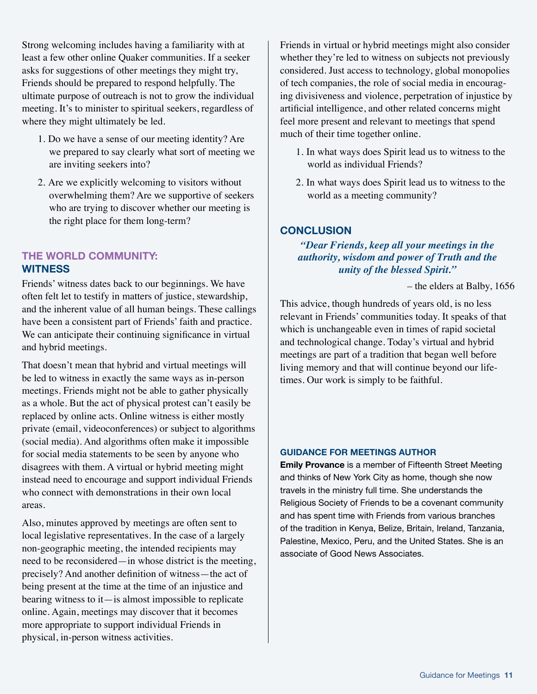Strong welcoming includes having a familiarity with at least a few other online Quaker communities. If a seeker asks for suggestions of other meetings they might try, Friends should be prepared to respond helpfully. The ultimate purpose of outreach is not to grow the individual meeting. It's to minister to spiritual seekers, regardless of where they might ultimately be led.

- 1. Do we have a sense of our meeting identity? Are we prepared to say clearly what sort of meeting we are inviting seekers into?
- 2. Are we explicitly welcoming to visitors without overwhelming them? Are we supportive of seekers who are trying to discover whether our meeting is the right place for them long-term?

#### **THE WORLD COMMUNITY: WITNESS**

Friends' witness dates back to our beginnings. We have often felt let to testify in matters of justice, stewardship, and the inherent value of all human beings. These callings have been a consistent part of Friends' faith and practice. We can anticipate their continuing significance in virtual and hybrid meetings.

That doesn't mean that hybrid and virtual meetings will be led to witness in exactly the same ways as in-person meetings. Friends might not be able to gather physically as a whole. But the act of physical protest can't easily be replaced by online acts. Online witness is either mostly private (email, videoconferences) or subject to algorithms (social media). And algorithms often make it impossible for social media statements to be seen by anyone who disagrees with them. A virtual or hybrid meeting might instead need to encourage and support individual Friends who connect with demonstrations in their own local areas.

Also, minutes approved by meetings are often sent to local legislative representatives. In the case of a largely non-geographic meeting, the intended recipients may need to be reconsidered—in whose district is the meeting, precisely? And another definition of witness—the act of being present at the time at the time of an injustice and bearing witness to it—is almost impossible to replicate online. Again, meetings may discover that it becomes more appropriate to support individual Friends in physical, in-person witness activities.

Friends in virtual or hybrid meetings might also consider whether they're led to witness on subjects not previously considered. Just access to technology, global monopolies of tech companies, the role of social media in encouraging divisiveness and violence, perpetration of injustice by artificial intelligence, and other related concerns might feel more present and relevant to meetings that spend much of their time together online.

- 1. In what ways does Spirit lead us to witness to the world as individual Friends?
- 2. In what ways does Spirit lead us to witness to the world as a meeting community?

### **CONCLUSION**

#### *"Dear Friends, keep all your meetings in the authority, wisdom and power of Truth and the unity of the blessed Spirit."*

– the elders at Balby, 1656

This advice, though hundreds of years old, is no less relevant in Friends' communities today. It speaks of that which is unchangeable even in times of rapid societal and technological change. Today's virtual and hybrid meetings are part of a tradition that began well before living memory and that will continue beyond our lifetimes. Our work is simply to be faithful.

#### **GUIDANCE FOR MEETINGS AUTHOR**

**Emily Provance** is a member of Fifteenth Street Meeting and thinks of New York City as home, though she now travels in the ministry full time. She understands the Religious Society of Friends to be a covenant community and has spent time with Friends from various branches of the tradition in Kenya, Belize, Britain, Ireland, Tanzania, Palestine, Mexico, Peru, and the United States. She is an associate of Good News Associates.